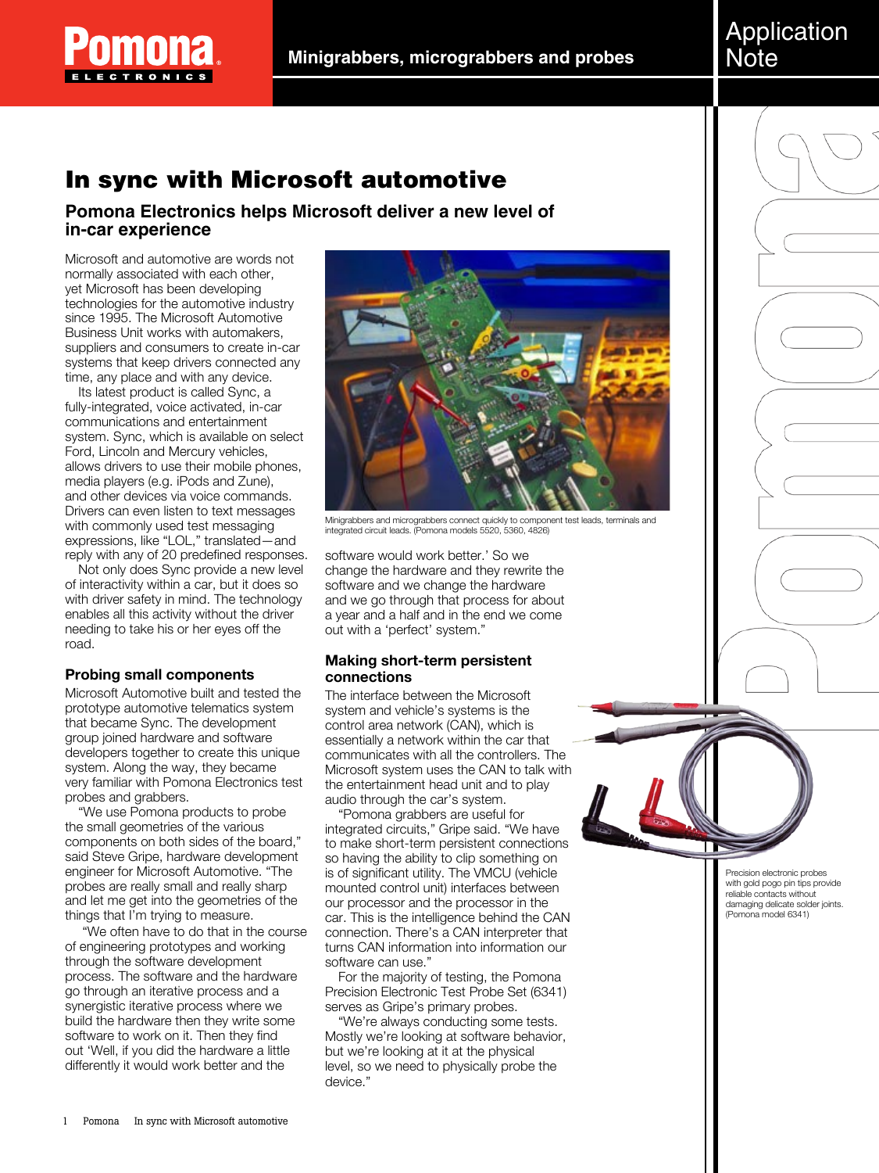

# In sync with Microsoft automotive

**Pomona Electronics helps Microsoft deliver a new level of in-car experience**

Microsoft and automotive are words not normally associated with each other, yet Microsoft has been developing technologies for the automotive industry since 1995. The Microsoft Automotive Business Unit works with automakers, suppliers and consumers to create in-car systems that keep drivers connected any time, any place and with any device.

Its latest product is called Sync, a fully-integrated, voice activated, in-car communications and entertainment system. Sync, which is available on select Ford, Lincoln and Mercury vehicles, allows drivers to use their mobile phones, media players (e.g. iPods and Zune), and other devices via voice commands. Drivers can even listen to text messages with commonly used test messaging expressions, like "LOL," translated—and reply with any of 20 predefined responses.

Not only does Sync provide a new level of interactivity within a car, but it does so with driver safety in mind. The technology enables all this activity without the driver needing to take his or her eyes off the road.

### **Probing small components**

Microsoft Automotive built and tested the prototype automotive telematics system that became Sync. The development group joined hardware and software developers together to create this unique system. Along the way, they became very familiar with Pomona Electronics test probes and grabbers.

"We use Pomona products to probe the small geometries of the various components on both sides of the board," said Steve Gripe, hardware development engineer for Microsoft Automotive. "The probes are really small and really sharp and let me get into the geometries of the things that I'm trying to measure.

"We often have to do that in the course of engineering prototypes and working through the software development process. The software and the hardware go through an iterative process and a synergistic iterative process where we build the hardware then they write some software to work on it. Then they find out 'Well, if you did the hardware a little differently it would work better and the



Minigrabbers and micrograbbers connect quickly to component test leads, terminals and integrated circuit leads. (Pomona models 5520, 5360, 4826)

software would work better.' So we change the hardware and they rewrite the software and we change the hardware and we go through that process for about a year and a half and in the end we come out with a 'perfect' system."

## **Making short-term persistent connections**

The interface between the Microsoft system and vehicle's systems is the control area network (CAN), which is essentially a network within the car that communicates with all the controllers. The Microsoft system uses the CAN to talk with the entertainment head unit and to play audio through the car's system.

"Pomona grabbers are useful for integrated circuits," Gripe said. "We have to make short-term persistent connections so having the ability to clip something on is of significant utility. The VMCU (vehicle mounted control unit) interfaces between our processor and the processor in the car. This is the intelligence behind the CAN connection. There's a CAN interpreter that turns CAN information into information our software can use."

For the majority of testing, the Pomona Precision Electronic Test Probe Set (6341) serves as Gripe's primary probes.

"We're always conducting some tests. Mostly we're looking at software behavior, but we're looking at it at the physical level, so we need to physically probe the device."